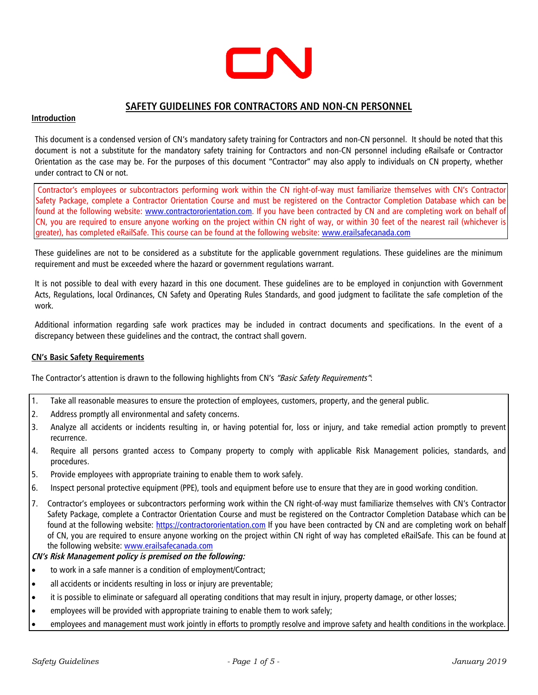

# **SAFETY GUIDELINES FOR CONTRACTORS AND NON-CN PERSONNEL**

## **Introduction**

This document is a condensed version of CN's mandatory safety training for Contractors and non-CN personnel. It should be noted that this document is not a substitute for the mandatory safety training for Contractors and non-CN personnel including eRailsafe or Contractor Orientation as the case may be. For the purposes of this document "Contractor" may also apply to individuals on CN property, whether under contract to CN or not.

Contractor's employees or subcontractors performing work within the CN right-of-way must familiarize themselves with CN's Contractor Safety Package, complete a Co[ntractor Orientation Course and](http://www.contractororientation.com/) must be registered on the Contractor Completion Database which can be found at the following website: www.contractororientation.com. If you have been contracted by CN and are completing work on behalf of CN, you are required to ensure anyone working on the project within CN right of way, or within 30 feet of the nearest rail (whichever is greater), has completed eRailSafe. This course can be found at the following website: [www.erailsafecanada.com](http://www.erailsafecanada.com/)

These guidelines are not to be considered as a substitute for the applicable government regulations. These guidelines are the minimum requirement and must be exceeded where the hazard or government regulations warrant.

It is not possible to deal with every hazard in this one document. These guidelines are to be employed in conjunction with Government Acts, Regulations, local Ordinances, CN Safety and Operating Rules Standards, and good judgment to facilitate the safe completion of the work.

Additional information regarding safe work practices may be included in contract documents and specifications. In the event of a discrepancy between these guidelines and the contract, the contract shall govern.

## **CN's Basic Safety Requirements**

The Contractor's attention is drawn to the following highlights from CN's "Basic Safety Requirements":

- 1. Take all reasonable measures to ensure the protection of employees, customers, property, and the general public.
- 2. Address promptly all environmental and safety concerns.
- 3. Analyze all accidents or incidents resulting in, or having potential for, loss or injury, and take remedial action promptly to prevent recurrence.
- 4. Require all persons granted access to Company property to comply with applicable Risk Management policies, standards, and procedures.
- 5. Provide employees with appropriate training to enable them to work safely.
- 6. Inspect personal protective equipment (PPE), tools and equipment before use to ensure that they are in good working condition.
- 7. Contractor's employees or subcontractors performing work within the CN right-of-way must familiarize themselves with CN's Contractor Safety Package, complete a Con[tractor Orientation Course and mu](https://contractororientation.com/)st be registered on the Contractor Completion Database which can be found at the following website: https://contractororientation.com If you have been contracted by CN and are completing work on behalf of CN, you are required to ensure anyone working on the project within CN right of way has completed eRailSafe. This can be found at the following website: www.erailsafecanada.com

## **CN's Risk Management policy is premised on the following:**

- to work in a safe manner is a condition of employment/Contract;
- all accidents or incidents resulting in loss or injury are preventable;
- it is possible to eliminate or safeguard all operating conditions that may result in injury, property damage, or other losses;
- employees will be provided with appropriate training to enable them to work safely;
- employees and management must work jointly in efforts to promptly resolve and improve safety and health conditions in the workplace.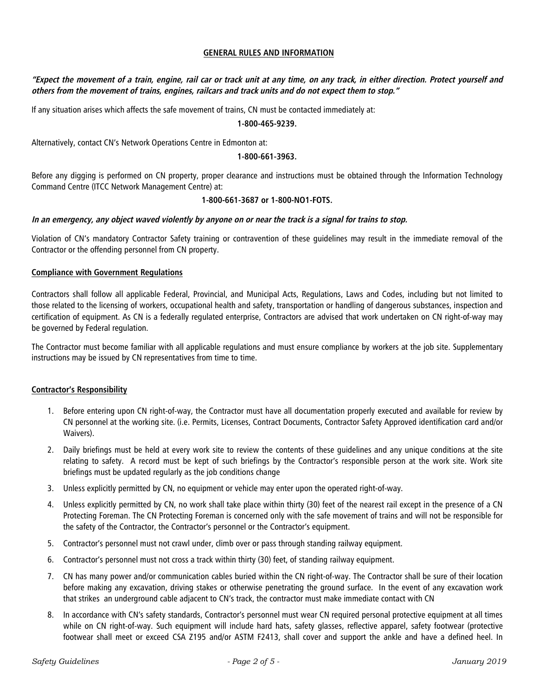## **GENERAL RULES AND INFORMATION**

**"Expect the movement of a train, engine, rail car or track unit at any time, on any track, in either direction. Protect yourself and others from the movement of trains, engines, railcars and track units and do not expect them to stop."** 

If any situation arises which affects the safe movement of trains, CN must be contacted immediately at:

#### **1-800-465-9239.**

Alternatively, contact CN's Network Operations Centre in Edmonton at:

#### **1-800-661-3963.**

Before any digging is performed on CN property, proper clearance and instructions must be obtained through the Information Technology Command Centre (ITCC Network Management Centre) at:

#### **1-800-661-3687 or 1-800-NO1-FOTS.**

#### **In an emergency, any object waved violently by anyone on or near the track is a signal for trains to stop.**

Violation of CN's mandatory Contractor Safety training or contravention of these guidelines may result in the immediate removal of the Contractor or the offending personnel from CN property.

#### **Compliance with Government Regulations**

Contractors shall follow all applicable Federal, Provincial, and Municipal Acts, Regulations, Laws and Codes, including but not limited to those related to the licensing of workers, occupational health and safety, transportation or handling of dangerous substances, inspection and certification of equipment. As CN is a federally regulated enterprise, Contractors are advised that work undertaken on CN right-of-way may be governed by Federal regulation.

The Contractor must become familiar with all applicable regulations and must ensure compliance by workers at the job site. Supplementary instructions may be issued by CN representatives from time to time.

## **Contractor's Responsibility**

- 1. Before entering upon CN right-of-way, the Contractor must have all documentation properly executed and available for review by CN personnel at the working site. (i.e. Permits, Licenses, Contract Documents, Contractor Safety Approved identification card and/or Waivers).
- 2. Daily briefings must be held at every work site to review the contents of these guidelines and any unique conditions at the site relating to safety. A record must be kept of such briefings by the Contractor's responsible person at the work site. Work site briefings must be updated regularly as the job conditions change
- 3. Unless explicitly permitted by CN, no equipment or vehicle may enter upon the operated right-of-way.
- 4. Unless explicitly permitted by CN, no work shall take place within thirty (30) feet of the nearest rail except in the presence of a CN Protecting Foreman. The CN Protecting Foreman is concerned only with the safe movement of trains and will not be responsible for the safety of the Contractor, the Contractor's personnel or the Contractor's equipment.
- 5. Contractor's personnel must not crawl under, climb over or pass through standing railway equipment.
- 6. Contractor's personnel must not cross a track within thirty (30) feet, of standing railway equipment.
- 7. CN has many power and/or communication cables buried within the CN right-of-way. The Contractor shall be sure of their location before making any excavation, driving stakes or otherwise penetrating the ground surface. In the event of any excavation work that strikes an underground cable adjacent to CN's track, the contractor must make immediate contact with CN
- 8. In accordance with CN's safety standards, Contractor's personnel must wear CN required personal protective equipment at all times while on CN right-of-way. Such equipment will include hard hats, safety glasses, reflective apparel, safety footwear (protective footwear shall meet or exceed CSA Z195 and/or ASTM F2413, shall cover and support the ankle and have a defined heel. In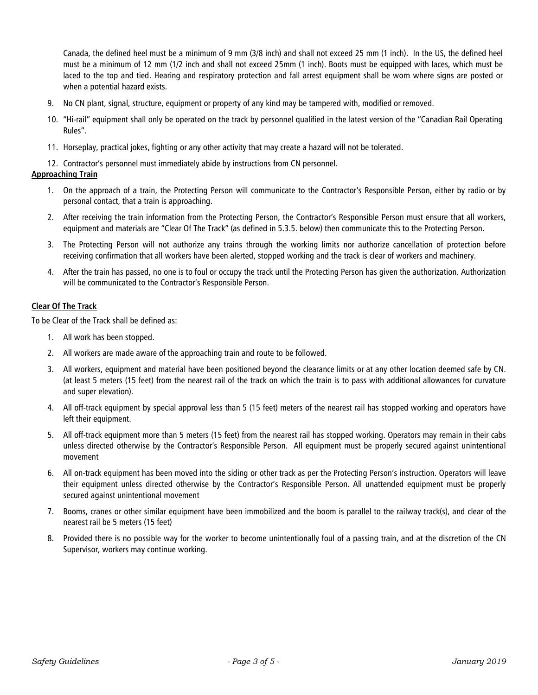Canada, the defined heel must be a minimum of 9 mm (3/8 inch) and shall not exceed 25 mm (1 inch). In the US, the defined heel must be a minimum of 12 mm (1/2 inch and shall not exceed 25mm (1 inch). Boots must be equipped with laces, which must be laced to the top and tied. Hearing and respiratory protection and fall arrest equipment shall be worn where signs are posted or when a potential hazard exists.

- 9. No CN plant, signal, structure, equipment or property of any kind may be tampered with, modified or removed.
- 10. "Hi-rail" equipment shall only be operated on the track by personnel qualified in the latest version of the "Canadian Rail Operating Rules".
- 11. Horseplay, practical jokes, fighting or any other activity that may create a hazard will not be tolerated.

## 12. Contractor's personnel must immediately abide by instructions from CN personnel.

## **Approaching Train**

- 1. On the approach of a train, the Protecting Person will communicate to the Contractor's Responsible Person, either by radio or by personal contact, that a train is approaching.
- 2. After receiving the train information from the Protecting Person, the Contractor's Responsible Person must ensure that all workers, equipment and materials are "Clear Of The Track" (as defined in 5.3.5. below) then communicate this to the Protecting Person.
- 3. The Protecting Person will not authorize any trains through the working limits nor authorize cancellation of protection before receiving confirmation that all workers have been alerted, stopped working and the track is clear of workers and machinery.
- 4. After the train has passed, no one is to foul or occupy the track until the Protecting Person has given the authorization. Authorization will be communicated to the Contractor's Responsible Person.

## **Clear Of The Track**

To be Clear of the Track shall be defined as:

- 1. All work has been stopped.
- 2. All workers are made aware of the approaching train and route to be followed.
- 3. All workers, equipment and material have been positioned beyond the clearance limits or at any other location deemed safe by CN. (at least 5 meters (15 feet) from the nearest rail of the track on which the train is to pass with additional allowances for curvature and super elevation).
- 4. All off-track equipment by special approval less than 5 (15 feet) meters of the nearest rail has stopped working and operators have left their equipment.
- 5. All off-track equipment more than 5 meters (15 feet) from the nearest rail has stopped working. Operators may remain in their cabs unless directed otherwise by the Contractor's Responsible Person. All equipment must be properly secured against unintentional movement
- 6. All on-track equipment has been moved into the siding or other track as per the Protecting Person's instruction. Operators will leave their equipment unless directed otherwise by the Contractor's Responsible Person. All unattended equipment must be properly secured against unintentional movement
- 7. Booms, cranes or other similar equipment have been immobilized and the boom is parallel to the railway track(s), and clear of the nearest rail be 5 meters (15 feet)
- 8. Provided there is no possible way for the worker to become unintentionally foul of a passing train, and at the discretion of the CN Supervisor, workers may continue working.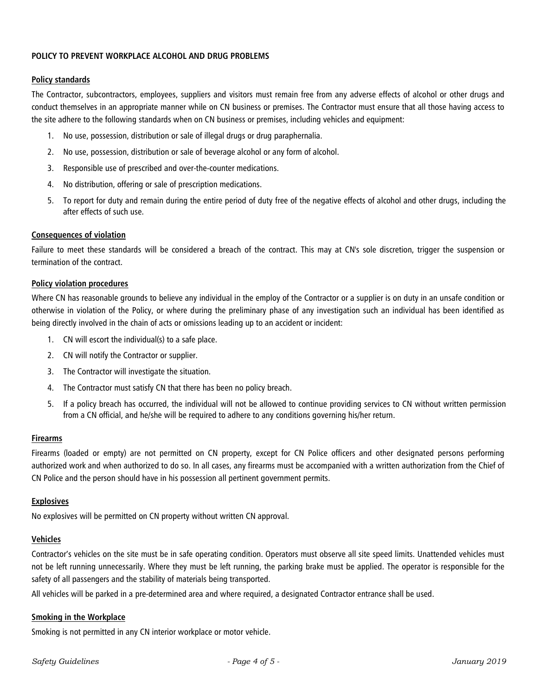## **POLICY TO PREVENT WORKPLACE ALCOHOL AND DRUG PROBLEMS**

## **Policy standards**

The Contractor, subcontractors, employees, suppliers and visitors must remain free from any adverse effects of alcohol or other drugs and conduct themselves in an appropriate manner while on CN business or premises. The Contractor must ensure that all those having access to the site adhere to the following standards when on CN business or premises, including vehicles and equipment:

- 1. No use, possession, distribution or sale of illegal drugs or drug paraphernalia.
- 2. No use, possession, distribution or sale of beverage alcohol or any form of alcohol.
- 3. Responsible use of prescribed and over-the-counter medications.
- 4. No distribution, offering or sale of prescription medications.
- 5. To report for duty and remain during the entire period of duty free of the negative effects of alcohol and other drugs, including the after effects of such use.

## **Consequences of violation**

Failure to meet these standards will be considered a breach of the contract. This may at CN's sole discretion, trigger the suspension or termination of the contract.

#### **Policy violation procedures**

Where CN has reasonable grounds to believe any individual in the employ of the Contractor or a supplier is on duty in an unsafe condition or otherwise in violation of the Policy, or where during the preliminary phase of any investigation such an individual has been identified as being directly involved in the chain of acts or omissions leading up to an accident or incident:

- 1. CN will escort the individual(s) to a safe place.
- 2. CN will notify the Contractor or supplier.
- 3. The Contractor will investigate the situation.
- 4. The Contractor must satisfy CN that there has been no policy breach.
- 5. If a policy breach has occurred, the individual will not be allowed to continue providing services to CN without written permission from a CN official, and he/she will be required to adhere to any conditions governing his/her return.

## **Firearms**

Firearms (loaded or empty) are not permitted on CN property, except for CN Police officers and other designated persons performing authorized work and when authorized to do so. In all cases, any firearms must be accompanied with a written authorization from the Chief of CN Police and the person should have in his possession all pertinent government permits.

## **Explosives**

No explosives will be permitted on CN property without written CN approval.

## **Vehicles**

Contractor's vehicles on the site must be in safe operating condition. Operators must observe all site speed limits. Unattended vehicles must not be left running unnecessarily. Where they must be left running, the parking brake must be applied. The operator is responsible for the safety of all passengers and the stability of materials being transported.

All vehicles will be parked in a pre-determined area and where required, a designated Contractor entrance shall be used.

## **Smoking in the Workplace**

Smoking is not permitted in any CN interior workplace or motor vehicle.